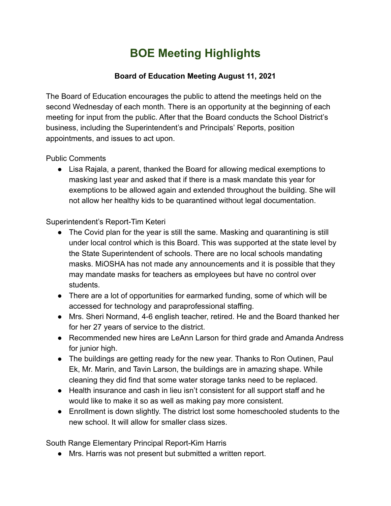## **BOE Meeting Highlights**

## **Board of Education Meeting August 11, 2021**

The Board of Education encourages the public to attend the meetings held on the second Wednesday of each month. There is an opportunity at the beginning of each meeting for input from the public. After that the Board conducts the School District's business, including the Superintendent's and Principals' Reports, position appointments, and issues to act upon.

Public Comments

● Lisa Rajala, a parent, thanked the Board for allowing medical exemptions to masking last year and asked that if there is a mask mandate this year for exemptions to be allowed again and extended throughout the building. She will not allow her healthy kids to be quarantined without legal documentation.

Superintendent's Report-Tim Keteri

- The Covid plan for the year is still the same. Masking and quarantining is still under local control which is this Board. This was supported at the state level by the State Superintendent of schools. There are no local schools mandating masks. MiOSHA has not made any announcements and it is possible that they may mandate masks for teachers as employees but have no control over students.
- There are a lot of opportunities for earmarked funding, some of which will be accessed for technology and paraprofessional staffing.
- Mrs. Sheri Normand, 4-6 english teacher, retired. He and the Board thanked her for her 27 years of service to the district.
- Recommended new hires are LeAnn Larson for third grade and Amanda Andress for junior high.
- The buildings are getting ready for the new year. Thanks to Ron Outinen, Paul Ek, Mr. Marin, and Tavin Larson, the buildings are in amazing shape. While cleaning they did find that some water storage tanks need to be replaced.
- Health insurance and cash in lieu isn't consistent for all support staff and he would like to make it so as well as making pay more consistent.
- Enrollment is down slightly. The district lost some homeschooled students to the new school. It will allow for smaller class sizes.

South Range Elementary Principal Report-Kim Harris

● Mrs. Harris was not present but submitted a written report.